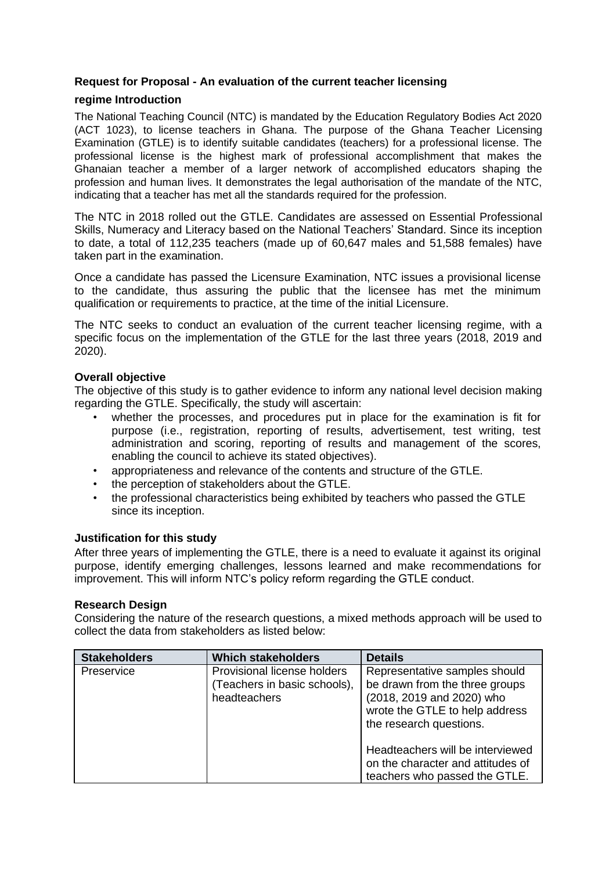## **Request for Proposal - An evaluation of the current teacher licensing**

## **regime Introduction**

The National Teaching Council (NTC) is mandated by the Education Regulatory Bodies Act 2020 (ACT 1023), to license teachers in Ghana. The purpose of the Ghana Teacher Licensing Examination (GTLE) is to identify suitable candidates (teachers) for a professional license. The professional license is the highest mark of professional accomplishment that makes the Ghanaian teacher a member of a larger network of accomplished educators shaping the profession and human lives. It demonstrates the legal authorisation of the mandate of the NTC, indicating that a teacher has met all the standards required for the profession.

The NTC in 2018 rolled out the GTLE. Candidates are assessed on Essential Professional Skills, Numeracy and Literacy based on the National Teachers' Standard. Since its inception to date, a total of 112,235 teachers (made up of 60,647 males and 51,588 females) have taken part in the examination.

Once a candidate has passed the Licensure Examination, NTC issues a provisional license to the candidate, thus assuring the public that the licensee has met the minimum qualification or requirements to practice, at the time of the initial Licensure.

The NTC seeks to conduct an evaluation of the current teacher licensing regime, with a specific focus on the implementation of the GTLE for the last three years (2018, 2019 and 2020).

## **Overall objective**

The objective of this study is to gather evidence to inform any national level decision making regarding the GTLE. Specifically, the study will ascertain:

- whether the processes, and procedures put in place for the examination is fit for purpose (i.e., registration, reporting of results, advertisement, test writing, test administration and scoring, reporting of results and management of the scores, enabling the council to achieve its stated objectives).
- appropriateness and relevance of the contents and structure of the GTLE.
- the perception of stakeholders about the GTLE.
- the professional characteristics being exhibited by teachers who passed the GTLE since its inception.

## **Justification for this study**

After three years of implementing the GTLE, there is a need to evaluate it against its original purpose, identify emerging challenges, lessons learned and make recommendations for improvement. This will inform NTC's policy reform regarding the GTLE conduct.

#### **Research Design**

Considering the nature of the research questions, a mixed methods approach will be used to collect the data from stakeholders as listed below:

| <b>Stakeholders</b> | <b>Which stakeholders</b>                                                   | <b>Details</b>                                                                                                                                            |
|---------------------|-----------------------------------------------------------------------------|-----------------------------------------------------------------------------------------------------------------------------------------------------------|
| Preservice          | Provisional license holders<br>(Teachers in basic schools),<br>headteachers | Representative samples should<br>be drawn from the three groups<br>(2018, 2019 and 2020) who<br>wrote the GTLE to help address<br>the research questions. |
|                     |                                                                             | Headteachers will be interviewed<br>on the character and attitudes of<br>teachers who passed the GTLE.                                                    |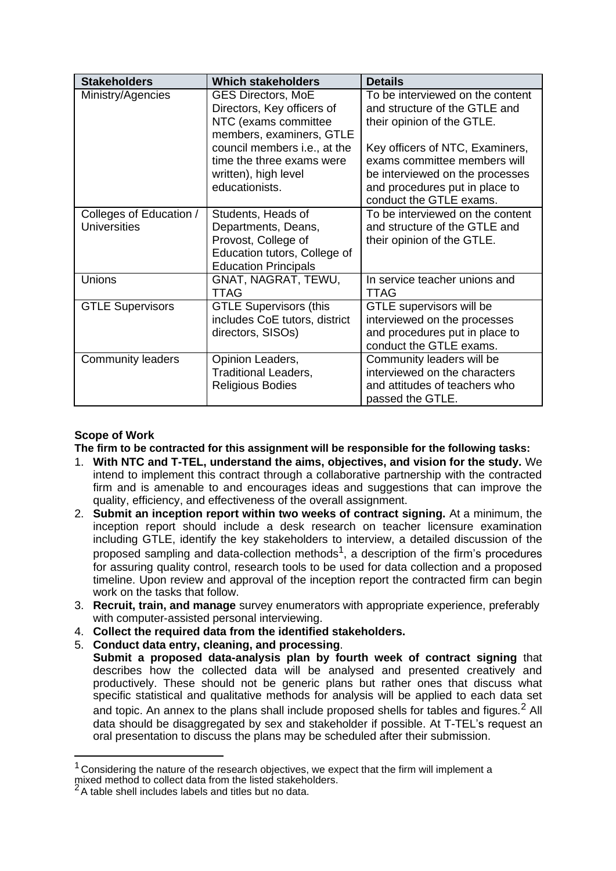| <b>Stakeholders</b>                            | <b>Which stakeholders</b>                                                                                                       | <b>Details</b>                                                                                                                                                  |
|------------------------------------------------|---------------------------------------------------------------------------------------------------------------------------------|-----------------------------------------------------------------------------------------------------------------------------------------------------------------|
| Ministry/Agencies                              | <b>GES Directors, MoE</b><br>Directors, Key officers of<br>NTC (exams committee<br>members, examiners, GTLE                     | To be interviewed on the content<br>and structure of the GTLE and<br>their opinion of the GTLE.                                                                 |
|                                                | council members i.e., at the<br>time the three exams were<br>written), high level<br>educationists.                             | Key officers of NTC, Examiners,<br>exams committee members will<br>be interviewed on the processes<br>and procedures put in place to<br>conduct the GTLE exams. |
| Colleges of Education /<br><b>Universities</b> | Students, Heads of<br>Departments, Deans,<br>Provost, College of<br>Education tutors, College of<br><b>Education Principals</b> | To be interviewed on the content<br>and structure of the GTLE and<br>their opinion of the GTLE.                                                                 |
| Unions                                         | GNAT, NAGRAT, TEWU,<br><b>TTAG</b>                                                                                              | In service teacher unions and<br><b>TTAG</b>                                                                                                                    |
| <b>GTLE Supervisors</b>                        | <b>GTLE Supervisors (this</b><br>includes CoE tutors, district<br>directors, SISOs)                                             | GTLE supervisors will be<br>interviewed on the processes<br>and procedures put in place to<br>conduct the GTLE exams.                                           |
| <b>Community leaders</b>                       | Opinion Leaders,<br><b>Traditional Leaders,</b><br><b>Religious Bodies</b>                                                      | Community leaders will be<br>interviewed on the characters<br>and attitudes of teachers who<br>passed the GTLE.                                                 |

# **Scope of Work**

**The firm to be contracted for this assignment will be responsible for the following tasks:**

- 1. **With NTC and T-TEL, understand the aims, objectives, and vision for the study.** We intend to implement this contract through a collaborative partnership with the contracted firm and is amenable to and encourages ideas and suggestions that can improve the quality, efficiency, and effectiveness of the overall assignment.
- 2. **Submit an inception report within two weeks of contract signing.** At a minimum, the inception report should include a desk research on teacher licensure examination including GTLE, identify the key stakeholders to interview, a detailed discussion of the proposed sampling and data-collection methods<sup>1</sup>, a description of the firm's procedures for assuring quality control, research tools to be used for data collection and a proposed timeline. Upon review and approval of the inception report the contracted firm can begin work on the tasks that follow.
- 3. **Recruit, train, and manage** survey enumerators with appropriate experience, preferably with computer-assisted personal interviewing.
- 4. **Collect the required data from the identified stakeholders.**
- 5. **Conduct data entry, cleaning, and processing**.
	- **Submit a proposed data-analysis plan by fourth week of contract signing** that describes how the collected data will be analysed and presented creatively and productively. These should not be generic plans but rather ones that discuss what specific statistical and qualitative methods for analysis will be applied to each data set and topic. An annex to the plans shall include proposed shells for tables and figures.<sup>2</sup> All data should be disaggregated by sex and stakeholder if possible. At T-TEL's request an oral presentation to discuss the plans may be scheduled after their submission.

 $1$  Considering the nature of the research objectives, we expect that the firm will implement a

mixed method to collect data from the listed stakeholders.

 $2A$  table shell includes labels and titles but no data.